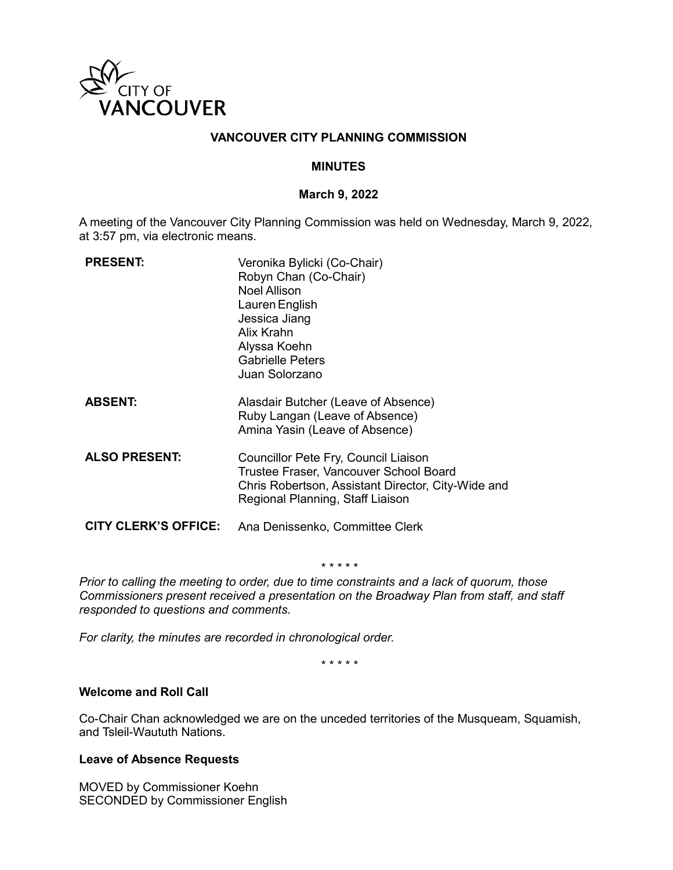

## **VANCOUVER CITY PLANNING COMMISSION**

### **MINUTES**

#### **March 9, 2022**

A meeting of the Vancouver City Planning Commission was held on Wednesday, March 9, 2022, at 3:57 pm, via electronic means.

| <b>PRESENT:</b>             | Veronika Bylicki (Co-Chair)<br>Robyn Chan (Co-Chair)<br><b>Noel Allison</b><br>Lauren English<br>Jessica Jiang<br>Alix Krahn<br>Alyssa Koehn<br><b>Gabrielle Peters</b><br>Juan Solorzano |
|-----------------------------|-------------------------------------------------------------------------------------------------------------------------------------------------------------------------------------------|
| <b>ABSENT:</b>              | Alasdair Butcher (Leave of Absence)<br>Ruby Langan (Leave of Absence)<br>Amina Yasin (Leave of Absence)                                                                                   |
| <b>ALSO PRESENT:</b>        | Councillor Pete Fry, Council Liaison<br>Trustee Fraser, Vancouver School Board<br>Chris Robertson, Assistant Director, City-Wide and<br>Regional Planning, Staff Liaison                  |
| <b>CITY CLERK'S OFFICE:</b> | Ana Denissenko, Committee Clerk                                                                                                                                                           |

*\* \* \* \* \**

*Prior to calling the meeting to order, due to time constraints and a lack of quorum, those Commissioners present received a presentation on the Broadway Plan from staff, and staff responded to questions and comments.*

*For clarity, the minutes are recorded in chronological order.*

*\* \* \* \* \**

### **Welcome and Roll Call**

Co-Chair Chan acknowledged we are on the unceded territories of the Musqueam, Squamish, and Tsleil-Waututh Nations.

### **Leave of Absence Requests**

MOVED by Commissioner Koehn SECONDED by Commissioner English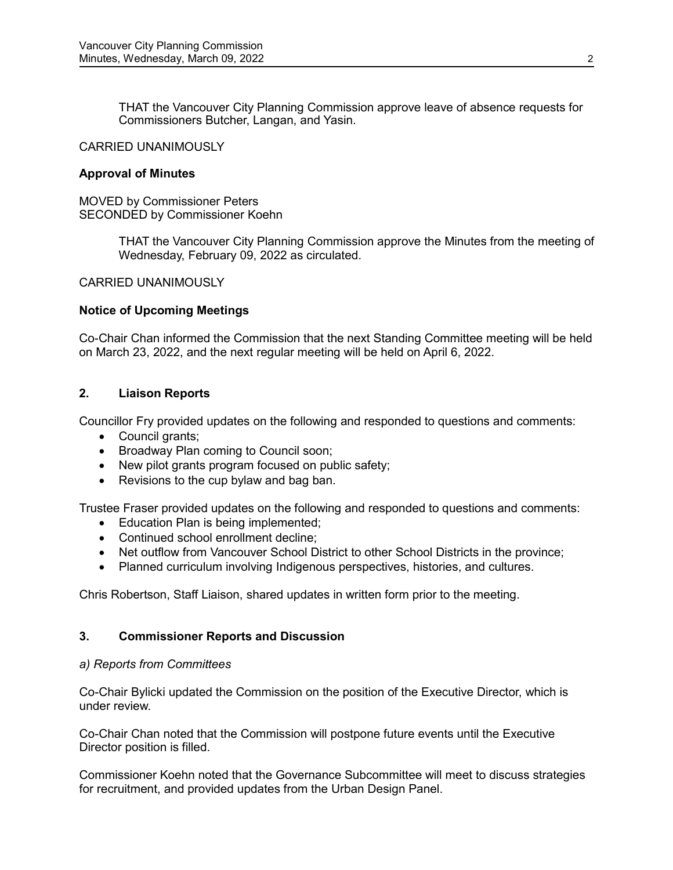THAT the Vancouver City Planning Commission approve leave of absence requests for Commissioners Butcher, Langan, and Yasin.

### CARRIED UNANIMOUSLY

#### **Approval of Minutes**

MOVED by Commissioner Peters SECONDED by Commissioner Koehn

> THAT the Vancouver City Planning Commission approve the Minutes from the meeting of Wednesday, February 09, 2022 as circulated.

#### CARRIED UNANIMOUSLY

### **Notice of Upcoming Meetings**

Co-Chair Chan informed the Commission that the next Standing Committee meeting will be held on March 23, 2022, and the next regular meeting will be held on April 6, 2022.

## **2. Liaison Reports**

Councillor Fry provided updates on the following and responded to questions and comments:

- Council grants;
- Broadway Plan coming to Council soon;
- New pilot grants program focused on public safety;
- Revisions to the cup bylaw and bag ban.

Trustee Fraser provided updates on the following and responded to questions and comments:

- Education Plan is being implemented;
- Continued school enrollment decline;
- Net outflow from Vancouver School District to other School Districts in the province;
- Planned curriculum involving Indigenous perspectives, histories, and cultures.

Chris Robertson, Staff Liaison, shared updates in written form prior to the meeting.

### **3. Commissioner Reports and Discussion**

### *a) Reports from Committees*

Co-Chair Bylicki updated the Commission on the position of the Executive Director, which is under review.

Co-Chair Chan noted that the Commission will postpone future events until the Executive Director position is filled.

Commissioner Koehn noted that the Governance Subcommittee will meet to discuss strategies for recruitment, and provided updates from the Urban Design Panel.